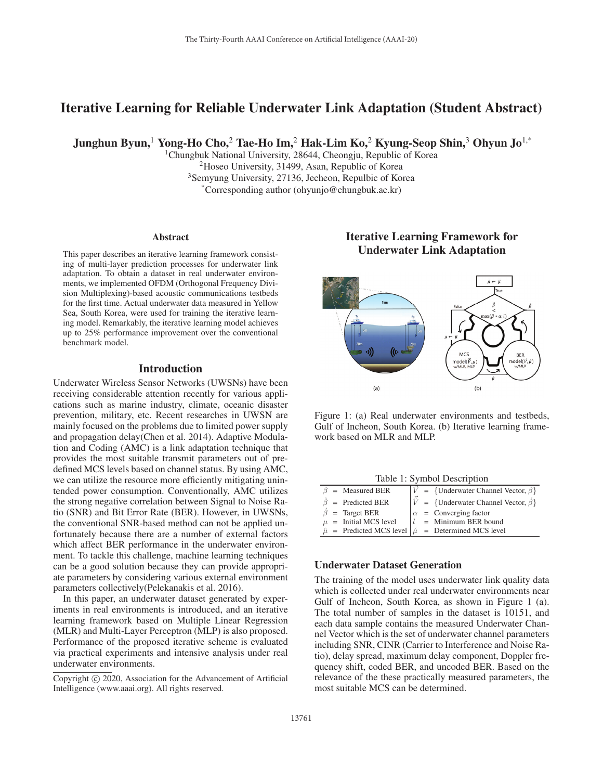# Iterative Learning for Reliable Underwater Link Adaptation (Student Abstract)

Junghun Byun,<sup>1</sup> Yong-Ho Cho,<sup>2</sup> Tae-Ho Im,<sup>2</sup> Hak-Lim Ko,<sup>2</sup> Kyung-Seop Shin,<sup>3</sup> Ohyun Jo<sup>1,\*</sup>

<sup>1</sup>Chungbuk National University, 28644, Cheongju, Republic of Korea 2Hoseo University, 31499, Asan, Republic of Korea 3Semyung University, 27136, Jecheon, Repulbic of Korea \*Corresponding author (ohyunjo@chungbuk.ac.kr)

#### Abstract

This paper describes an iterative learning framework consisting of multi-layer prediction processes for underwater link adaptation. To obtain a dataset in real underwater environments, we implemented OFDM (Orthogonal Frequency Division Multiplexing)-based acoustic communications testbeds for the first time. Actual underwater data measured in Yellow Sea, South Korea, were used for training the iterative learning model. Remarkably, the iterative learning model achieves up to 25% performance improvement over the conventional benchmark model.

## Introduction

Underwater Wireless Sensor Networks (UWSNs) have been receiving considerable attention recently for various applications such as marine industry, climate, oceanic disaster prevention, military, etc. Recent researches in UWSN are mainly focused on the problems due to limited power supply and propagation delay(Chen et al. 2014). Adaptive Modulation and Coding (AMC) is a link adaptation technique that provides the most suitable transmit parameters out of predefined MCS levels based on channel status. By using AMC, we can utilize the resource more efficiently mitigating unintended power consumption. Conventionally, AMC utilizes the strong negative correlation between Signal to Noise Ratio (SNR) and Bit Error Rate (BER). However, in UWSNs, the conventional SNR-based method can not be applied unfortunately because there are a number of external factors which affect BER performance in the underwater environment. To tackle this challenge, machine learning techniques can be a good solution because they can provide appropriate parameters by considering various external environment parameters collectively(Pelekanakis et al. 2016).

In this paper, an underwater dataset generated by experiments in real environments is introduced, and an iterative learning framework based on Multiple Linear Regression (MLR) and Multi-Layer Perceptron (MLP) is also proposed. Performance of the proposed iterative scheme is evaluated via practical experiments and intensive analysis under real underwater environments.

# Iterative Learning Framework for Underwater Link Adaptation



Figure 1: (a) Real underwater environments and testbeds, Gulf of Incheon, South Korea. (b) Iterative learning framework based on MLR and MLP.

Table 1: Symbol Description

| $\beta$ = Measured BER                                                 |  | $V = \{Underwater Channel Vector, \beta\}$       |
|------------------------------------------------------------------------|--|--------------------------------------------------|
| $\beta$ = Predicted BER                                                |  | $ V  = {Underwater Channel Vector, \hat{\beta}}$ |
| $\hat{\beta}$ = Target BER                                             |  | $\alpha$ = Converging factor                     |
| $\mu$ = Initial MCS level                                              |  | $l =$ Minimum BER bound                          |
| $\hat{\mu}$ = Predicted MCS level $ \hat{\mu} $ = Determined MCS level |  |                                                  |

## Underwater Dataset Generation

The training of the model uses underwater link quality data which is collected under real underwater environments near Gulf of Incheon, South Korea, as shown in Figure 1 (a). The total number of samples in the dataset is 10151, and each data sample contains the measured Underwater Channel Vector which is the set of underwater channel parameters including SNR, CINR (Carrier to Interference and Noise Ratio), delay spread, maximum delay component, Doppler frequency shift, coded BER, and uncoded BER. Based on the relevance of the these practically measured parameters, the most suitable MCS can be determined.

Copyright  $\odot$  2020, Association for the Advancement of Artificial Intelligence (www.aaai.org). All rights reserved.